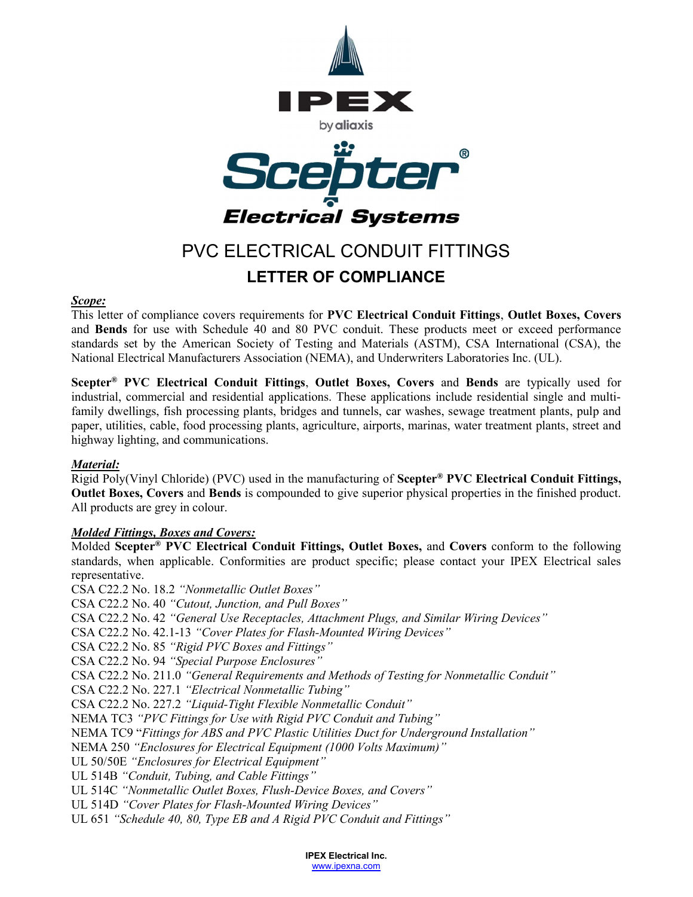

# PVC ELECTRICAL CONDUIT FITTINGS LETTER OF COMPLIANCE

#### Scope:

This letter of compliance covers requirements for PVC Electrical Conduit Fittings, Outlet Boxes, Covers and Bends for use with Schedule 40 and 80 PVC conduit. These products meet or exceed performance standards set by the American Society of Testing and Materials (ASTM), CSA International (CSA), the National Electrical Manufacturers Association (NEMA), and Underwriters Laboratories Inc. (UL).

Scepter<sup>®</sup> PVC Electrical Conduit Fittings, Outlet Boxes, Covers and Bends are typically used for industrial, commercial and residential applications. These applications include residential single and multifamily dwellings, fish processing plants, bridges and tunnels, car washes, sewage treatment plants, pulp and paper, utilities, cable, food processing plants, agriculture, airports, marinas, water treatment plants, street and highway lighting, and communications.

## Material:

Rigid Poly(Vinyl Chloride) (PVC) used in the manufacturing of Scepter® PVC Electrical Conduit Fittings, Outlet Boxes, Covers and Bends is compounded to give superior physical properties in the finished product. All products are grey in colour.

## **Molded Fittings, Boxes and Covers:**

Molded Scepter<sup>®</sup> PVC Electrical Conduit Fittings, Outlet Boxes, and Covers conform to the following standards, when applicable. Conformities are product specific; please contact your IPEX Electrical sales representative.

CSA C22.2 No. 18.2 "Nonmetallic Outlet Boxes" CSA C22.2 No. 40 "Cutout, Junction, and Pull Boxes" CSA C22.2 No. 42 "General Use Receptacles, Attachment Plugs, and Similar Wiring Devices" CSA C22.2 No. 42.1-13 "Cover Plates for Flash-Mounted Wiring Devices" CSA C22.2 No. 85 "Rigid PVC Boxes and Fittings" CSA C22.2 No. 94 "Special Purpose Enclosures" CSA C22.2 No. 211.0 "General Requirements and Methods of Testing for Nonmetallic Conduit" CSA C22.2 No. 227.1 "Electrical Nonmetallic Tubing" CSA C22.2 No. 227.2 "Liquid-Tight Flexible Nonmetallic Conduit" NEMA TC3 "PVC Fittings for Use with Rigid PVC Conduit and Tubing" NEMA TC9 "Fittings for ABS and PVC Plastic Utilities Duct for Underground Installation" NEMA 250 "Enclosures for Electrical Equipment (1000 Volts Maximum)" UL 50/50E "Enclosures for Electrical Equipment" UL 514B "Conduit, Tubing, and Cable Fittings" UL 514C "Nonmetallic Outlet Boxes, Flush-Device Boxes, and Covers" UL 514D "Cover Plates for Flash-Mounted Wiring Devices" UL 651 "Schedule 40, 80, Type EB and A Rigid PVC Conduit and Fittings"